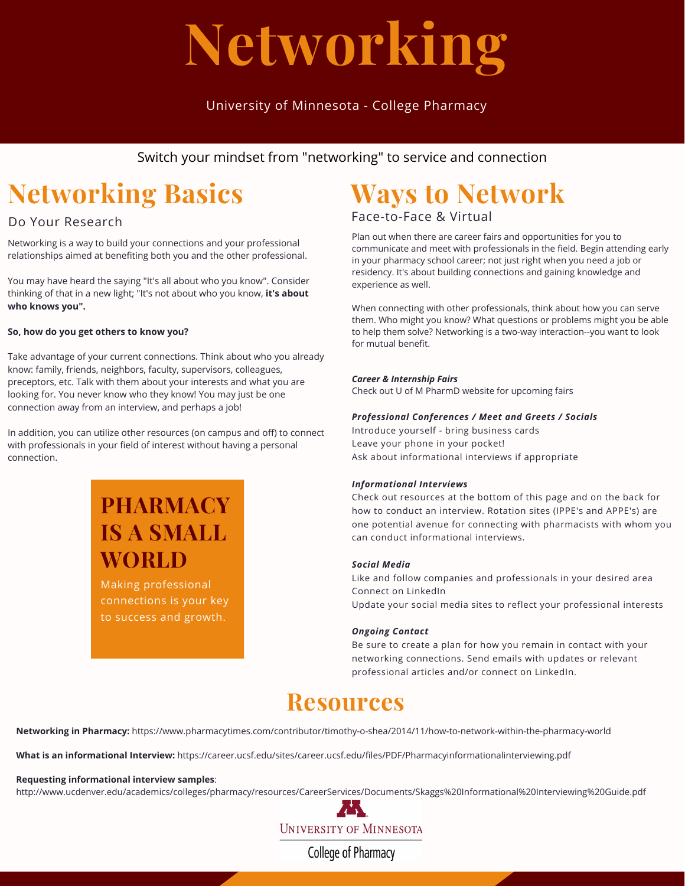# **Networking**

### University of Minnesota - College Pharmacy

Switch your mindset from "networking" to service and connection

# **Networking Basics**

#### Do Your Research

Networking is a way to build your connections and your professional relationships aimed at benefiting both you and the other professional.

You may have heard the saying "It's all about who you know". Consider thinking of that in a new light; "It's not about who you know, **it's about who knows you".**

#### **So, how do you get others to know you?**

Take advantage of your current connections. Think about who you already know: family, friends, neighbors, faculty, supervisors, colleagues, preceptors, etc. Talk with them about your interests and what you are looking for. You never know who they know! You may just be one connection away from an interview, and perhaps a job!

In addition, you can utilize other resources (on campus and off) to connect with professionals in your field of interest without having a personal connection.

## **PHARMACY IS A SMALL WORLD**

Making professional connections is your key to success and growth.

## **Ways to Network**

Face-to-Face & Virtual

Plan out when there are career fairs and opportunities for you to communicate and meet with professionals in the field. Begin attending early in your pharmacy school career; not just right when you need a job or residency. It's about building connections and gaining knowledge and experience as well.

When connecting with other professionals, think about how you can serve them. Who might you know? What questions or problems might you be able to help them solve? Networking is a two-way interaction--you want to look for mutual benefit.

#### *Career & Internship Fairs*

Check out U of M PharmD website for upcoming fairs

#### *Professional Conferences / Meet and Greets / Socials*

Introduce yourself - bring business cards Leave your phone in your pocket! Ask about informational interviews if appropriate

#### *Informational Interviews*

Check out resources at the bottom of this page and on the back for how to conduct an interview. Rotation sites (IPPE's and APPE's) are one potential avenue for connecting with pharmacists with whom you can conduct informational interviews.

#### *Social Media*

Like and follow companies and professionals in your desired area Connect on LinkedIn Update your social media sites to reflect your professional interests

#### *Ongoing Contact*

Be sure to create a plan for how you remain in contact with your networking connections. Send emails with updates or relevant professional articles and/or connect on LinkedIn.

## **Resources**

**Networking in Pharmacy:** https://www.pharmacytimes.com/contributor/timothy-o-shea/2014/11/how-to-network-within-the-pharmacy-world

**What is an informational Interview:** https://career.ucsf.edu/sites/career.ucsf.edu/files/PDF/Pharmacyinformationalinterviewing.pdf

#### **Requesting informational interview samples**:

http://www.ucdenver.edu/academics/colleges/pharmacy/resources/CareerServices/Documents/Skaggs%20Informational%20Interviewing%20Guide.pdf



**College of Pharmacy**